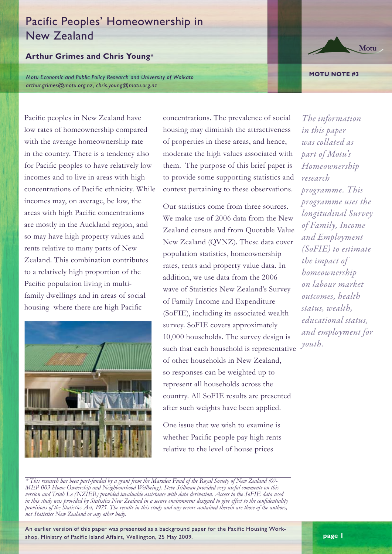# Pacific Peoples' Homeownership in New Zealand

## **Arthur Grimes and Chris Young\***

Pacific peoples in New Zealand have

*Motu Economic and Public Policy Research and University of Waikato arthur.grimes@motu.org.nz, chris.young@motu.org.nz*

> concentrations. The prevalence of social housing may diminish the attractiveness of properties in these areas, and hence, moderate the high values associated with them. The purpose of this brief paper is to provide some supporting statistics and context pertaining to these observations.

> Our statistics come from three sources. We make use of 2006 data from the New Zealand census and from Quotable Value New Zealand (QVNZ). These data cover population statistics, homeownership rates, rents and property value data. In addition, we use data from the 2006 wave of Statistics New Zealand's Survey of Family Income and Expenditure (SoFIE), including its associated wealth survey. SoFIE covers approximately 10,000 households. The survey design is such that each household is representative of other households in New Zealand, so responses can be weighted up to represent all households across the country. All SoFIE results are presented after such weights have been applied.

One issue that we wish to examine is whether Pacific people pay high rents relative to the level of house prices

*The information in this paper was collated as part of Motu's Homeownership research programme. This programme uses the longitudinal Survey of Family, Income and Employment (SoFIE) to estimate the impact of homeownership on labour market outcomes, health status, wealth, educational status, and employment for youth.*

low rates of homeownership compared with the average homeownership rate in the country. There is a tendency also for Pacific peoples to have relatively low incomes and to live in areas with high concentrations of Pacific ethnicity. While incomes may, on average, be low, the areas with high Pacific concentrations are mostly in the Auckland region, and so may have high property values and rents relative to many parts of New Zealand. This combination contributes to a relatively high proportion of the Pacific population living in multifamily dwellings and in areas of social housing where there are high Pacific



*\* This research has been part-funded by a grant from the Marsden Fund of the Royal Society of New Zealand (07- MEP-003 Home Ownership and Neighbourhood Wellbeing). Steve Stillman provided very useful comments on this version and Trinh Le (NZIER) provided invaluable assistance with data derivation. Access to the SoFIE data used in this study was provided by Statistics New Zealand in a secure environment designed to give effect to the confidentiality provisions of the Statistics Act, 1975. The results in this study and any errors contained therein are those of the authors, not Statistics New Zealand or any other body.*

An earlier version of this paper was presented as a background paper for the Pacific Housing Workshop, Ministry of Pacific Island Affairs, Wellington, 25 May 2009.





#### **MOTU NOTE #3**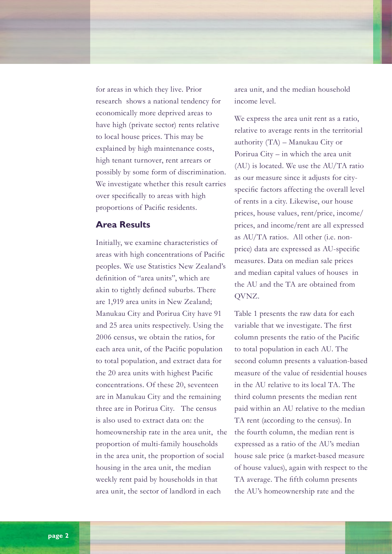for areas in which they live. Prior research shows a national tendency for economically more deprived areas to have high (private sector) rents relative to local house prices. This may be explained by high maintenance costs, high tenant turnover, rent arrears or possibly by some form of discrimination. We investigate whether this result carries over specifically to areas with high proportions of Pacific residents.

### **Area Results**

Initially, we examine characteristics of areas with high concentrations of Pacific peoples. We use Statistics New Zealand's definition of "area units", which are akin to tightly defined suburbs. There are 1,919 area units in New Zealand; Manukau City and Porirua City have 91 and 25 area units respectively. Using the 2006 census, we obtain the ratios, for each area unit, of the Pacific population to total population, and extract data for the 20 area units with highest Pacific concentrations. Of these 20, seventeen are in Manukau City and the remaining three are in Porirua City. The census is also used to extract data on: the homeownership rate in the area unit, the proportion of multi-family households in the area unit, the proportion of social housing in the area unit, the median weekly rent paid by households in that area unit, the sector of landlord in each

area unit, and the median household income level.

We express the area unit rent as a ratio, relative to average rents in the territorial authority (TA) – Manukau City or Porirua City – in which the area unit (AU) is located. We use the AU/TA ratio as our measure since it adjusts for cityspecific factors affecting the overall level of rents in a city. Likewise, our house prices, house values, rent/price, income/ prices, and income/rent are all expressed as AU/TA ratios. All other (i.e. nonprice) data are expressed as AU-specific measures. Data on median sale prices and median capital values of houses in the AU and the TA are obtained from QVNZ.

Table 1 presents the raw data for each variable that we investigate. The first column presents the ratio of the Pacific to total population in each AU. The second column presents a valuation-based measure of the value of residential houses in the AU relative to its local TA. The third column presents the median rent paid within an AU relative to the median TA rent (according to the census). In the fourth column, the median rent is expressed as a ratio of the AU's median house sale price (a market-based measure of house values), again with respect to the TA average. The fifth column presents the AU's homeownership rate and the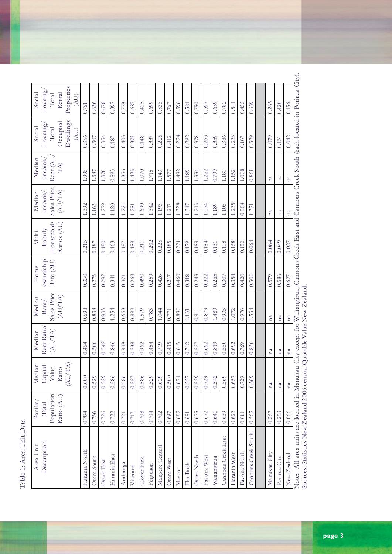Table 1: Area Unit Data Table 1: Area Unit Data

| Description<br>Area Unit | Pacific,<br>Total        | Median<br>Capital                                                 | Rent Ratio<br>Median   | Sales Price<br>Median<br>Rent/ | ownership<br>Home- | Family<br>Multi-          | Median<br>Income,      | Median<br>Income,       | Housing<br>Social                      | Housing/<br>Social<br>Total  |
|--------------------------|--------------------------|-------------------------------------------------------------------|------------------------|--------------------------------|--------------------|---------------------------|------------------------|-------------------------|----------------------------------------|------------------------------|
|                          | Population<br>Ratio (AU) | $\left(\mathrm{AU}/\mathrm{T}\mathrm{A}\right)$<br>Value<br>Ratio | (AU/TA)                | (AU/IA)                        | Rate (AU)          | Households<br>Ratios (AU) | Sales Price<br>(AU/TA) | Rent (AU<br>${\rm TA})$ | Dwellings<br>Occupied<br>Total<br>(AU) | Properties<br>Rental<br>(AU) |
|                          | 0.784                    | 0.600                                                             | 0.454                  | 0.698                          | 0.330              | 0.215                     | 1.392                  | 1.995                   | 0.356                                  | 0.761                        |
|                          | 0.756                    | 0.529                                                             | 0.500                  | 0.838                          | 0.275              | 0.187                     | 1.163                  | 1.387                   | 0.307                                  | 0.636                        |
|                          | 0.726                    | 0.529                                                             | 0.542                  | 0.933                          | 0.292              | 0.180                     | 1.279                  | 1.370                   | 0.354                                  | 0.678                        |
|                          | 0.722                    | 0.586                                                             | 0.846                  | 1.254                          | 0.341              | 0.163                     | 1.120                  | 0.893                   | 0.187                                  | 0.397                        |
|                          | 0.721                    | 0.586                                                             | 0.438                  | 0.658                          | 0.321              | 0.187                     | 1.221                  | 1.856                   | 0.403                                  | 0.778                        |
|                          | 0.717                    | 0.557                                                             | 0.538                  | 0.899                          | 0.269              | 0.188                     | 1.281                  | 1.425                   | 0.373                                  | 0.687                        |
|                          | 0.708                    | 0.586                                                             | 0.962                  | 1.579                          | 0.490              | 0.211                     | 1.690                  | $1.070\,$               | 0.148                                  | 0.425                        |
|                          | 0.704                    | 0.529                                                             | 0.454                  | 0.783                          | 0.259              | 0.202                     | 1.342                  | 1.715                   | 0.337                                  | 0.699                        |
|                          | 0.702                    | 0.629                                                             | 0.719                  | 1.044                          | 0.426              | 0.225                     | 1.193                  | 1.143                   | 0.225                                  | 0.535                        |
|                          | 0.697                    | 0.500                                                             | 0.435                  | 0.771                          | 0.217              | 0.185                     | 1.217                  | 1.577                   | 0.412                                  | 0.767                        |
|                          | 0.682                    | 0.671                                                             | 0.615                  | 0.890                          | 0.460              | 0.221                     | 1.328                  | 1.492                   | 0.224                                  | 0.596                        |
|                          | 0.681                    | 0.557                                                             | 0.712                  | 1.133                          | 0.318              | 0.179                     | 1.347                  | 1.189                   | 0.292                                  | 0.581                        |
|                          | 0.675                    | 0.529                                                             | 0.527                  | 0.911                          | 0.243              | 0.189                     | 1.215                  | 1.334                   | 0.378                                  | 0.750                        |
|                          | 0.672                    | 0.729                                                             | 0.692                  | 0.879                          | 0.322              | 0.184                     | 1.074                  | 1.222                   | 0.263                                  | 0.597                        |
|                          | 0.640                    | 0.542                                                             | 0.819                  | 1.489                          | 0.265              | 0.131                     | 1.189                  | 0.799                   | 0.359                                  | 0.659                        |
|                          | 0.639                    | 0.569                                                             | 0.550                  | 0.935                          | 0.307              | 0.108                     | 1.105                  | 1.181                   | 0.386                                  | 0.782                        |
|                          | 0.623                    | 0.657                                                             | 0.692                  | 1.072                          | 0.354              | 0.168                     | 1.235                  | 1.152                   | 0.233                                  | 0.541                        |
|                          | 0.611                    | 0.729                                                             | 0.769                  | 0.976                          | 0.420              | 0.150                     | 0.984                  | 1.008                   | 0.167                                  | 0.455                        |
| Cannons Creek South      | 0.562                    | 0.569                                                             | 0.830                  | 1.534                          | 0.300              | 0.064                     | 1.321                  | 0.861                   | 0.329                                  | 0.639                        |
|                          |                          |                                                                   |                        |                                |                    |                           |                        |                         |                                        |                              |
|                          | 0.263                    | $^{\rm na}$                                                       | na                     | na                             | 0.579              | 0.084                     | na                     | na                      | 0.079                                  | 0.265                        |
|                          | 0.253                    | $^{\rm na}$                                                       | na                     | $^{\rm na}$                    | 0.586              | 0.049                     | $^{\rm na}$            | $\mathbf{n}\mathbf{a}$  | 0.131                                  | 0.420                        |
|                          | 0.066                    | $\mathtt{na}$                                                     | $\mathbf{n}\mathbf{a}$ | na                             | 0.627              | 0.027                     | na                     | na                      | 0.042                                  | 0.156                        |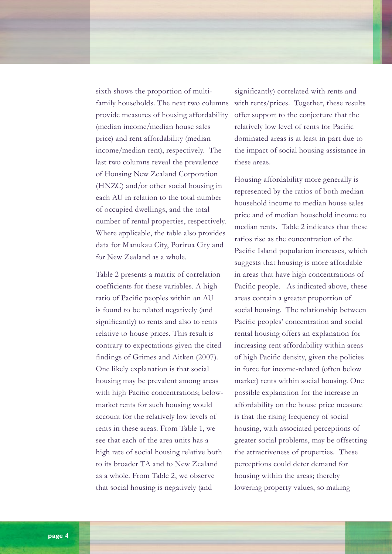sixth shows the proportion of multifamily households. The next two columns provide measures of housing affordability (median income/median house sales price) and rent affordability (median income/median rent), respectively. The last two columns reveal the prevalence of Housing New Zealand Corporation (HNZC) and/or other social housing in each AU in relation to the total number of occupied dwellings, and the total number of rental properties, respectively. Where applicable, the table also provides data for Manukau City, Porirua City and for New Zealand as a whole.

Table 2 presents a matrix of correlation coefficients for these variables. A high ratio of Pacific peoples within an AU is found to be related negatively (and significantly) to rents and also to rents relative to house prices. This result is contrary to expectations given the cited findings of Grimes and Aitken (2007). One likely explanation is that social housing may be prevalent among areas with high Pacific concentrations; belowmarket rents for such housing would account for the relatively low levels of rents in these areas. From Table 1, we see that each of the area units has a high rate of social housing relative both to its broader TA and to New Zealand as a whole. From Table 2, we observe that social housing is negatively (and

significantly) correlated with rents and with rents/prices. Together, these results offer support to the conjecture that the relatively low level of rents for Pacific dominated areas is at least in part due to the impact of social housing assistance in these areas.

Housing affordability more generally is represented by the ratios of both median household income to median house sales price and of median household income to median rents. Table 2 indicates that these ratios rise as the concentration of the Pacific Island population increases, which suggests that housing is more affordable in areas that have high concentrations of Pacific people. As indicated above, these areas contain a greater proportion of social housing. The relationship between Pacific peoples' concentration and social rental housing offers an explanation for increasing rent affordability within areas of high Pacific density, given the policies in force for income-related (often below market) rents within social housing. One possible explanation for the increase in affordability on the house price measure is that the rising frequency of social housing, with associated perceptions of greater social problems, may be offsetting the attractiveness of properties. These perceptions could deter demand for housing within the areas; thereby lowering property values, so making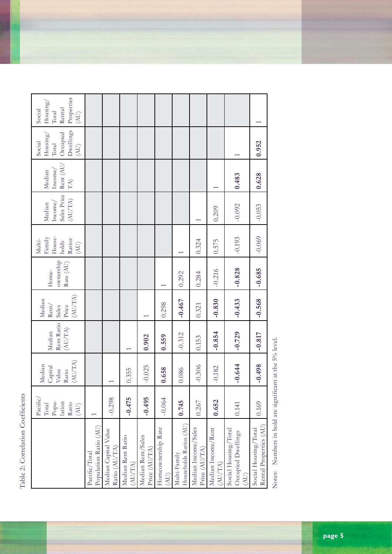Table 2: Correlation Coefficients Table 2: Correlation Coefficients

|                                                    | Pacific,<br>Popu-<br>lation<br>Ratio<br>Total<br>$\widetilde{E}$ | (AU/IA)<br>Median<br>Capital<br>Value<br>Ratio | Rent Ratio<br>(AU/TA)<br>Median | (AU/TA)<br>Median<br>Price<br>Rent/<br>Sales | ownership<br>Rate (AU)<br>Home- | House-<br>Family<br>Ratios<br>Multi-<br>holds<br>$\left(\overline{A}U\right)$ | Sales Price<br>$\left(\mathrm{AU}/\mathrm{T}\mathrm{A}\right)$<br>Income/<br>Median | $\mathrm{Rent}\,(\mathrm{AU}/% \mathrm{W})$<br>Income/<br>Median<br>$\mathrm{T}\mathrm{A})$ | Dwellings<br>Occupied<br>Housing,<br>Social<br>Total<br>$\left( \begin{matrix} A \end{matrix} \right)$ | Properties<br>Housing/<br>Rental<br>Social<br>Total<br>$\widetilde{\left( \mathrm{AU}\right) }% =\left( \mathrm{AU}\right) ^{\ast }\left( \mathrm{AU}\right) ,$ |
|----------------------------------------------------|------------------------------------------------------------------|------------------------------------------------|---------------------------------|----------------------------------------------|---------------------------------|-------------------------------------------------------------------------------|-------------------------------------------------------------------------------------|---------------------------------------------------------------------------------------------|--------------------------------------------------------------------------------------------------------|-----------------------------------------------------------------------------------------------------------------------------------------------------------------|
| Population Ratio (AU)<br>Pacific/Total             |                                                                  |                                                |                                 |                                              |                                 |                                                                               |                                                                                     |                                                                                             |                                                                                                        |                                                                                                                                                                 |
| Median Capital Value<br>Ratio (AU/TA)              | $-0.298$                                                         |                                                |                                 |                                              |                                 |                                                                               |                                                                                     |                                                                                             |                                                                                                        |                                                                                                                                                                 |
| Median Rent Ratio<br>(AU/TA)                       | $-0.475$                                                         | 0.355                                          |                                 |                                              |                                 |                                                                               |                                                                                     |                                                                                             |                                                                                                        |                                                                                                                                                                 |
| Median Rent/Sales<br>Price (AU/TA)                 | $-0.495$                                                         | $-0.025$                                       | 0.902                           |                                              |                                 |                                                                               |                                                                                     |                                                                                             |                                                                                                        |                                                                                                                                                                 |
| Homeownership Rate<br>(AU)                         | $-0.064$                                                         | 0.658                                          | 0.559                           | 0.298                                        |                                 |                                                                               |                                                                                     |                                                                                             |                                                                                                        |                                                                                                                                                                 |
| Households Ratios (AU)<br>Multi-Family             | 0.745                                                            | 0.086                                          | $-0.312$                        | $-0.467$                                     | 0.292                           |                                                                               |                                                                                     |                                                                                             |                                                                                                        |                                                                                                                                                                 |
| Median Income/Sales<br>Price (AU/TA)               | 0.267                                                            | $-0.306$                                       | 0.153                           | 0.321                                        | 0.284                           | 0.324                                                                         |                                                                                     |                                                                                             |                                                                                                        |                                                                                                                                                                 |
| Median Income/Rent<br>(AU/TA)                      | 0.652                                                            | $-0.182$                                       | $-0.854$                        | $-0.830$                                     | $-0.216$                        | 0.575                                                                         | 0.209                                                                               | $\overline{ }$                                                                              |                                                                                                        |                                                                                                                                                                 |
| Social Housing/Total<br>Occupied Dwellings<br>(AU) | 0.141                                                            | $-0.644$                                       | $-0.729$                        | $-0.433$                                     | $-0.828$                        | $-0.193$                                                                      | $-0.092$                                                                            | 0.483                                                                                       |                                                                                                        |                                                                                                                                                                 |
| Rental Properties (AU)<br>Social Housing/Total     | 0.169                                                            | $-0.498$                                       | $-0.817$                        | $-0.568$                                     | $-0.685$                        | $-0.069$                                                                      | $-0.053$                                                                            | 0.628                                                                                       | 0.952                                                                                                  |                                                                                                                                                                 |

Notes: Numbers in bold are significant at the 5% level. Notes: Numbers in bold are significant at the 5% level.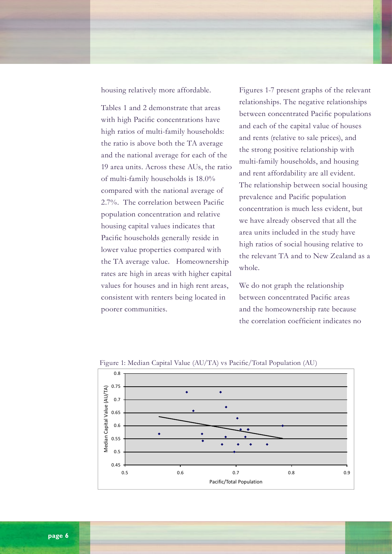housing relatively more affordable.

Tables 1 and 2 demonstrate that areas with high Pacific concentrations have high ratios of multi-family households: the ratio is above both the TA average and the national average for each of the 19 area units. Across these AUs, the ratio of multi-family households is 18.0% compared with the national average of 2.7%. The correlation between Pacific population concentration and relative housing capital values indicates that Pacific households generally reside in lower value properties compared with the TA average value. Homeownership rates are high in areas with higher capital values for houses and in high rent areas, consistent with renters being located in poorer communities.

Figures 1-7 present graphs of the relevant relationships. The negative relationships between concentrated Pacific populations and each of the capital value of houses and rents (relative to sale prices), and the strong positive relationship with multi-family households, and housing and rent affordability are all evident. The relationship between social housing prevalence and Pacific population concentration is much less evident, but we have already observed that all the area units included in the study have high ratios of social housing relative to the relevant TA and to New Zealand as a whole.

We do not graph the relationship between concentrated Pacific areas and the homeownership rate because the correlation coefficient indicates no



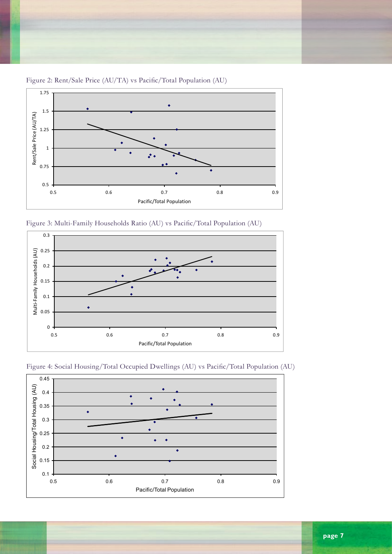

Figure 2: Rent/Sale Price (AU/TA) vs Pacific/Total Population (AU)







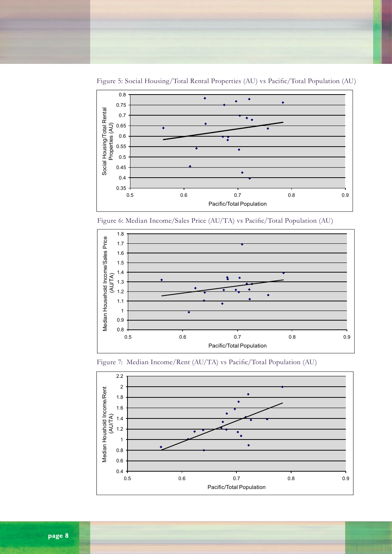

Figure 5: Social Housing/Total Rental Properties (AU) vs Pacific/Total Population (AU)

Figure 6: Median Income/Sales Price (AU/TA) vs Pacific/Total Population (AU)





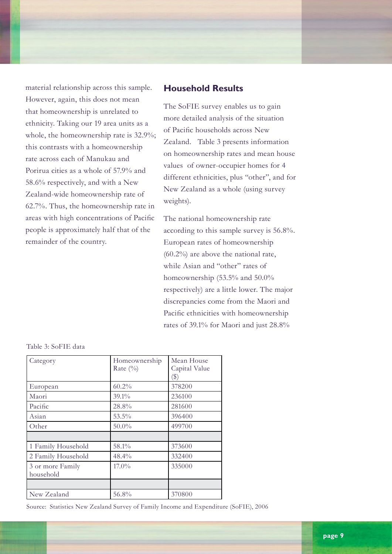material relationship across this sample. However, again, this does not mean that homeownership is unrelated to ethnicity. Taking our 19 area units as a whole, the homeownership rate is 32.9%; this contrasts with a homeownership rate across each of Manukau and Porirua cities as a whole of 57.9% and 58.6% respectively, and with a New Zealand-wide homeownership rate of 62.7%. Thus, the homeownership rate in areas with high concentrations of Pacific people is approximately half that of the remainder of the country.

# **Household Results**

The SoFIE survey enables us to gain more detailed analysis of the situation of Pacific households across New Zealand. Table 3 presents information on homeownership rates and mean house values of owner-occupier homes for 4 different ethnicities, plus "other", and for New Zealand as a whole (using survey weights).

The national homeownership rate according to this sample survey is 56.8%. European rates of homeownership (60.2%) are above the national rate, while Asian and "other" rates of homeownership (53.5% and 50.0% respectively) are a little lower. The major discrepancies come from the Maori and Pacific ethnicities with homeownership rates of 39.1% for Maori and just 28.8%

|  |  | Table 3: SoFIE data |  |
|--|--|---------------------|--|
|--|--|---------------------|--|

| Category                      | Homeownership<br>Rate $(\%)$ | Mean House<br>Capital Value         |
|-------------------------------|------------------------------|-------------------------------------|
|                               | 60.2%                        | $\left( \text{\$}\right)$<br>378200 |
| European                      |                              |                                     |
| Maori                         | 39.1%                        | 236100                              |
| Pacific                       | 28.8%                        | 281600                              |
| Asian                         | $53.5\%$                     | 396400                              |
| Other                         | $50.0\%$                     | 499700                              |
|                               |                              |                                     |
| 1 Family Household            | 58.1%                        | 373600                              |
| 2 Family Household            | 48.4%                        | 332400                              |
| 3 or more Family<br>household | $17.0\%$                     | 335000                              |
|                               |                              |                                     |
| New Zealand                   | 56.8%                        | 370800                              |

Source: Statistics New Zealand Survey of Family Income and Expenditure (SoFIE), 2006